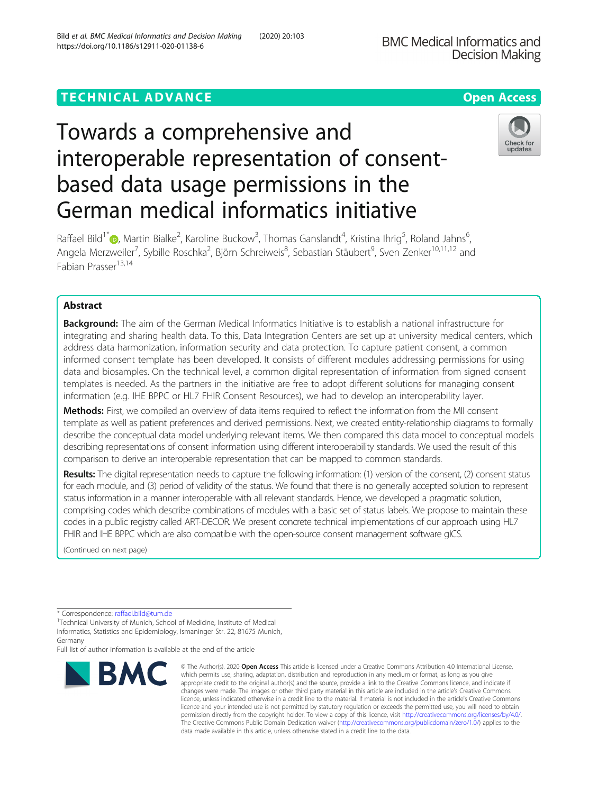# TECHNICAL ADVANCE A CONTROLLER CONTROLLER CONTROLLER CONTROLLER CONTROLLER CONTROLLER CONTROLLER CONTROLLER CO

# Towards a comprehensive and interoperable representation of consentbased data usage permissions in the German medical informatics initiative

Raffael Bild<sup>1\*</sup>�[,](http://orcid.org/0000-0002-7398-5598) Martin Bialke<sup>2</sup>, Karoline Buckow<sup>3</sup>, Thomas Ganslandt<sup>4</sup>, Kristina Ihrig<sup>5</sup>, Roland Jahns<sup>6</sup> , Angela Merzweiler<sup>7</sup>, Sybille Roschka<sup>2</sup>, Björn Schreiweis<sup>8</sup>, Sebastian Stäubert<sup>9</sup>, Sven Zenker<sup>10,11,12</sup> and Fabian Prasser<sup>13,14</sup>

# Abstract

**Background:** The aim of the German Medical Informatics Initiative is to establish a national infrastructure for integrating and sharing health data. To this, Data Integration Centers are set up at university medical centers, which address data harmonization, information security and data protection. To capture patient consent, a common informed consent template has been developed. It consists of different modules addressing permissions for using data and biosamples. On the technical level, a common digital representation of information from signed consent templates is needed. As the partners in the initiative are free to adopt different solutions for managing consent information (e.g. IHE BPPC or HL7 FHIR Consent Resources), we had to develop an interoperability layer.

Methods: First, we compiled an overview of data items required to reflect the information from the MII consent template as well as patient preferences and derived permissions. Next, we created entity-relationship diagrams to formally describe the conceptual data model underlying relevant items. We then compared this data model to conceptual models describing representations of consent information using different interoperability standards. We used the result of this comparison to derive an interoperable representation that can be mapped to common standards.

Results: The digital representation needs to capture the following information: (1) version of the consent, (2) consent status for each module, and (3) period of validity of the status. We found that there is no generally accepted solution to represent status information in a manner interoperable with all relevant standards. Hence, we developed a pragmatic solution, comprising codes which describe combinations of modules with a basic set of status labels. We propose to maintain these codes in a public registry called ART-DECOR. We present concrete technical implementations of our approach using HL7 FHIR and IHE BPPC which are also compatible with the open-source consent management software gICS.

(Continued on next page)

**BMC** 

Full list of author information is available at the end of the article



© The Author(s), 2020 **Open Access** This article is licensed under a Creative Commons Attribution 4.0 International License,





<sup>\*</sup> Correspondence: [raffael.bild@tum.de](mailto:raffael.bild@tum.de)<br><sup>1</sup>Technical University of Munich, School of Medicine, Institute of Medical Informatics, Statistics and Epidemiology, Ismaninger Str. 22, 81675 Munich, Germany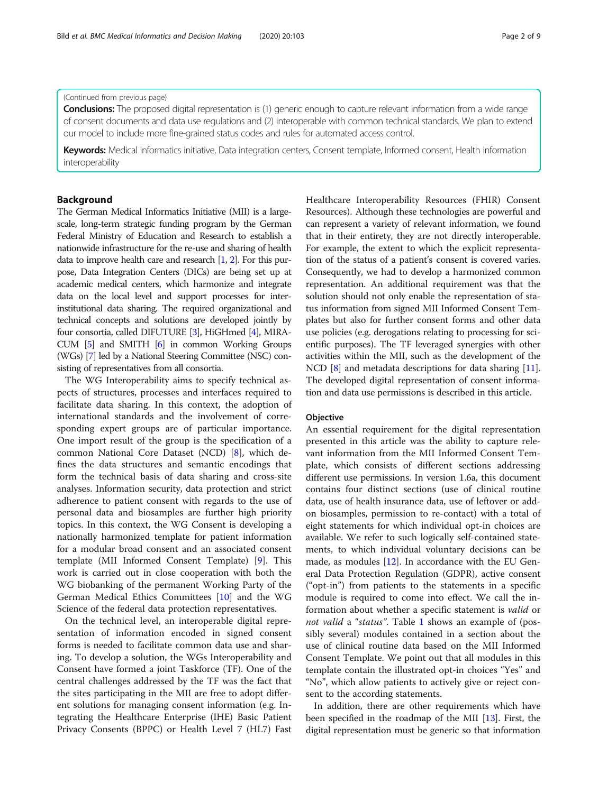#### (Continued from previous page)

Conclusions: The proposed digital representation is (1) generic enough to capture relevant information from a wide range of consent documents and data use regulations and (2) interoperable with common technical standards. We plan to extend our model to include more fine-grained status codes and rules for automated access control.

Keywords: Medical informatics initiative, Data integration centers, Consent template, Informed consent, Health information interoperability

# Background

The German Medical Informatics Initiative (MII) is a largescale, long-term strategic funding program by the German Federal Ministry of Education and Research to establish a nationwide infrastructure for the re-use and sharing of health data to improve health care and research [\[1](#page-7-0), [2\]](#page-7-0). For this purpose, Data Integration Centers (DICs) are being set up at academic medical centers, which harmonize and integrate data on the local level and support processes for interinstitutional data sharing. The required organizational and technical concepts and solutions are developed jointly by four consortia, called DIFUTURE [[3](#page-7-0)], HiGHmed [\[4](#page-7-0)], MIRA-CUM [\[5](#page-7-0)] and SMITH [\[6\]](#page-7-0) in common Working Groups (WGs) [\[7\]](#page-7-0) led by a National Steering Committee (NSC) consisting of representatives from all consortia.

The WG Interoperability aims to specify technical aspects of structures, processes and interfaces required to facilitate data sharing. In this context, the adoption of international standards and the involvement of corresponding expert groups are of particular importance. One import result of the group is the specification of a common National Core Dataset (NCD) [\[8](#page-7-0)], which defines the data structures and semantic encodings that form the technical basis of data sharing and cross-site analyses. Information security, data protection and strict adherence to patient consent with regards to the use of personal data and biosamples are further high priority topics. In this context, the WG Consent is developing a nationally harmonized template for patient information for a modular broad consent and an associated consent template (MII Informed Consent Template) [\[9](#page-7-0)]. This work is carried out in close cooperation with both the WG biobanking of the permanent Working Party of the German Medical Ethics Committees [[10](#page-7-0)] and the WG Science of the federal data protection representatives.

On the technical level, an interoperable digital representation of information encoded in signed consent forms is needed to facilitate common data use and sharing. To develop a solution, the WGs Interoperability and Consent have formed a joint Taskforce (TF). One of the central challenges addressed by the TF was the fact that the sites participating in the MII are free to adopt different solutions for managing consent information (e.g. Integrating the Healthcare Enterprise (IHE) Basic Patient Privacy Consents (BPPC) or Health Level 7 (HL7) Fast Healthcare Interoperability Resources (FHIR) Consent Resources). Although these technologies are powerful and can represent a variety of relevant information, we found that in their entirety, they are not directly interoperable. For example, the extent to which the explicit representation of the status of a patient's consent is covered varies. Consequently, we had to develop a harmonized common representation. An additional requirement was that the solution should not only enable the representation of status information from signed MII Informed Consent Templates but also for further consent forms and other data use policies (e.g. derogations relating to processing for scientific purposes). The TF leveraged synergies with other activities within the MII, such as the development of the NCD [\[8\]](#page-7-0) and metadata descriptions for data sharing [[11](#page-7-0)]. The developed digital representation of consent information and data use permissions is described in this article.

## **Objective**

An essential requirement for the digital representation presented in this article was the ability to capture relevant information from the MII Informed Consent Template, which consists of different sections addressing different use permissions. In version 1.6a, this document contains four distinct sections (use of clinical routine data, use of health insurance data, use of leftover or addon biosamples, permission to re-contact) with a total of eight statements for which individual opt-in choices are available. We refer to such logically self-contained statements, to which individual voluntary decisions can be made, as modules  $[12]$  $[12]$ . In accordance with the EU General Data Protection Regulation (GDPR), active consent ("opt-in") from patients to the statements in a specific module is required to come into effect. We call the information about whether a specific statement is valid or not valid a "status". Table [1](#page-2-0) shows an example of (possibly several) modules contained in a section about the use of clinical routine data based on the MII Informed Consent Template. We point out that all modules in this template contain the illustrated opt-in choices "Yes" and "No", which allow patients to actively give or reject consent to the according statements.

In addition, there are other requirements which have been specified in the roadmap of the MII [[13](#page-7-0)]. First, the digital representation must be generic so that information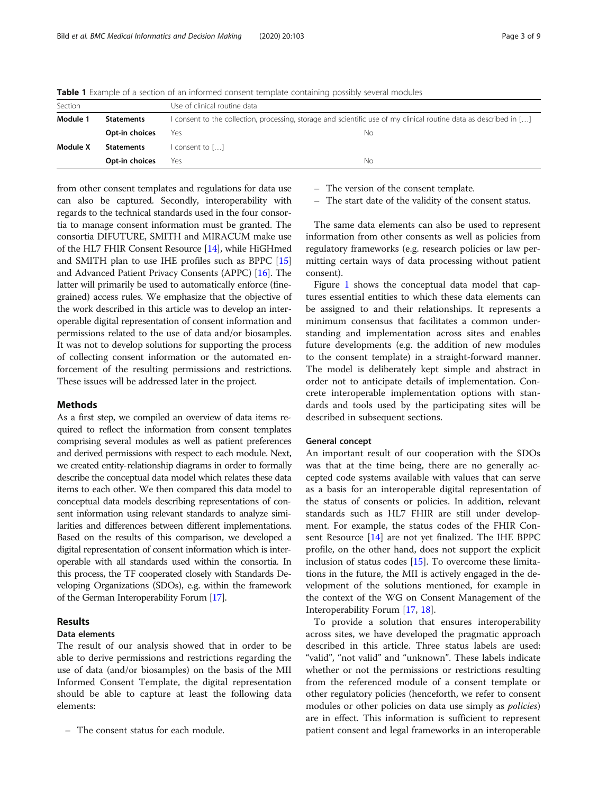| Section  |                   | Use of clinical routine data                                                                                       |    |  |  |
|----------|-------------------|--------------------------------------------------------------------------------------------------------------------|----|--|--|
| Module 1 | <b>Statements</b> | I consent to the collection, processing, storage and scientific use of my clinical routine data as described in [] |    |  |  |
|          | Opt-in choices    | Yes                                                                                                                | No |  |  |
| Module X | Statements        | l consent to []                                                                                                    |    |  |  |
|          | Opt-in choices    | Yes                                                                                                                | Nο |  |  |

<span id="page-2-0"></span>Table 1 Example of a section of an informed consent template containing possibly several modules

from other consent templates and regulations for data use can also be captured. Secondly, interoperability with regards to the technical standards used in the four consortia to manage consent information must be granted. The consortia DIFUTURE, SMITH and MIRACUM make use of the HL7 FHIR Consent Resource [[14](#page-7-0)], while HiGHmed and SMITH plan to use IHE profiles such as BPPC [[15](#page-7-0)] and Advanced Patient Privacy Consents (APPC) [[16](#page-7-0)]. The latter will primarily be used to automatically enforce (finegrained) access rules. We emphasize that the objective of the work described in this article was to develop an interoperable digital representation of consent information and permissions related to the use of data and/or biosamples. It was not to develop solutions for supporting the process of collecting consent information or the automated enforcement of the resulting permissions and restrictions. These issues will be addressed later in the project.

# Methods

As a first step, we compiled an overview of data items required to reflect the information from consent templates comprising several modules as well as patient preferences and derived permissions with respect to each module. Next, we created entity-relationship diagrams in order to formally describe the conceptual data model which relates these data items to each other. We then compared this data model to conceptual data models describing representations of consent information using relevant standards to analyze similarities and differences between different implementations. Based on the results of this comparison, we developed a digital representation of consent information which is interoperable with all standards used within the consortia. In this process, the TF cooperated closely with Standards Developing Organizations (SDOs), e.g. within the framework of the German Interoperability Forum [[17\]](#page-7-0).

# Results

# Data elements

The result of our analysis showed that in order to be able to derive permissions and restrictions regarding the use of data (and/or biosamples) on the basis of the MII Informed Consent Template, the digital representation should be able to capture at least the following data elements:

– The consent status for each module.

– The version of the consent template.

– The start date of the validity of the consent status.

The same data elements can also be used to represent information from other consents as well as policies from regulatory frameworks (e.g. research policies or law permitting certain ways of data processing without patient consent).

Figure [1](#page-3-0) shows the conceptual data model that captures essential entities to which these data elements can be assigned to and their relationships. It represents a minimum consensus that facilitates a common understanding and implementation across sites and enables future developments (e.g. the addition of new modules to the consent template) in a straight-forward manner. The model is deliberately kept simple and abstract in order not to anticipate details of implementation. Concrete interoperable implementation options with standards and tools used by the participating sites will be described in subsequent sections.

## General concept

An important result of our cooperation with the SDOs was that at the time being, there are no generally accepted code systems available with values that can serve as a basis for an interoperable digital representation of the status of consents or policies. In addition, relevant standards such as HL7 FHIR are still under development. For example, the status codes of the FHIR Consent Resource [\[14\]](#page-7-0) are not yet finalized. The IHE BPPC profile, on the other hand, does not support the explicit inclusion of status codes [[15\]](#page-7-0). To overcome these limitations in the future, the MII is actively engaged in the development of the solutions mentioned, for example in the context of the WG on Consent Management of the Interoperability Forum [\[17](#page-7-0), [18\]](#page-7-0).

To provide a solution that ensures interoperability across sites, we have developed the pragmatic approach described in this article. Three status labels are used: "valid", "not valid" and "unknown". These labels indicate whether or not the permissions or restrictions resulting from the referenced module of a consent template or other regulatory policies (henceforth, we refer to consent modules or other policies on data use simply as *policies*) are in effect. This information is sufficient to represent patient consent and legal frameworks in an interoperable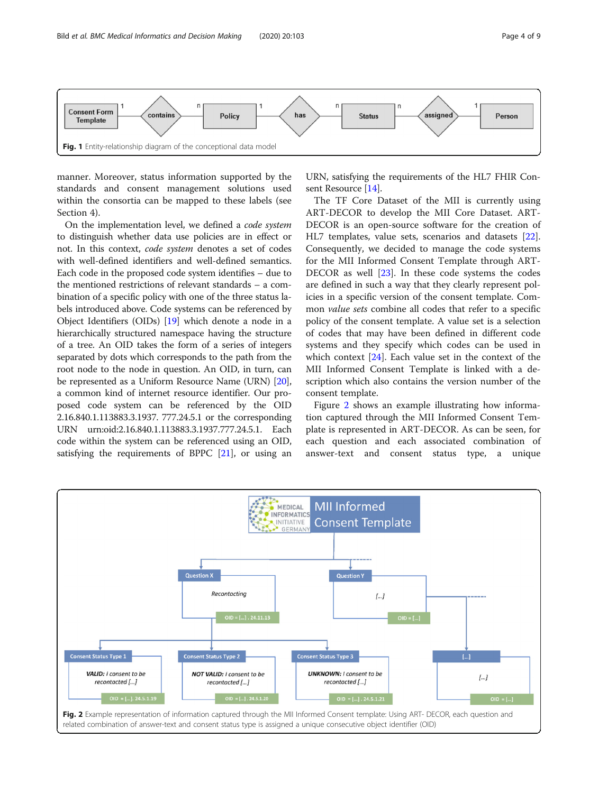<span id="page-3-0"></span>

manner. Moreover, status information supported by the standards and consent management solutions used within the consortia can be mapped to these labels (see Section 4).

On the implementation level, we defined a code system to distinguish whether data use policies are in effect or not. In this context, code system denotes a set of codes with well-defined identifiers and well-defined semantics. Each code in the proposed code system identifies – due to the mentioned restrictions of relevant standards – a combination of a specific policy with one of the three status labels introduced above. Code systems can be referenced by Object Identifiers (OIDs) [\[19](#page-7-0)] which denote a node in a hierarchically structured namespace having the structure of a tree. An OID takes the form of a series of integers separated by dots which corresponds to the path from the root node to the node in question. An OID, in turn, can be represented as a Uniform Resource Name (URN) [[20](#page-7-0)], a common kind of internet resource identifier. Our proposed code system can be referenced by the OID 2.16.840.1.113883.3.1937. 777.24.5.1 or the corresponding URN urn:oid:2.16.840.1.113883.3.1937.777.24.5.1. Each code within the system can be referenced using an OID, satisfying the requirements of BPPC [\[21\]](#page-8-0), or using an

URN, satisfying the requirements of the HL7 FHIR Consent Resource [[14\]](#page-7-0).

The TF Core Dataset of the MII is currently using ART-DECOR to develop the MII Core Dataset. ART-DECOR is an open-source software for the creation of HL7 templates, value sets, scenarios and datasets [\[22](#page-8-0)]. Consequently, we decided to manage the code systems for the MII Informed Consent Template through ART-DECOR as well [\[23](#page-8-0)]. In these code systems the codes are defined in such a way that they clearly represent policies in a specific version of the consent template. Common value sets combine all codes that refer to a specific policy of the consent template. A value set is a selection of codes that may have been defined in different code systems and they specify which codes can be used in which context [\[24\]](#page-8-0). Each value set in the context of the MII Informed Consent Template is linked with a description which also contains the version number of the consent template.

Figure 2 shows an example illustrating how information captured through the MII Informed Consent Template is represented in ART-DECOR. As can be seen, for each question and each associated combination of answer-text and consent status type, a unique

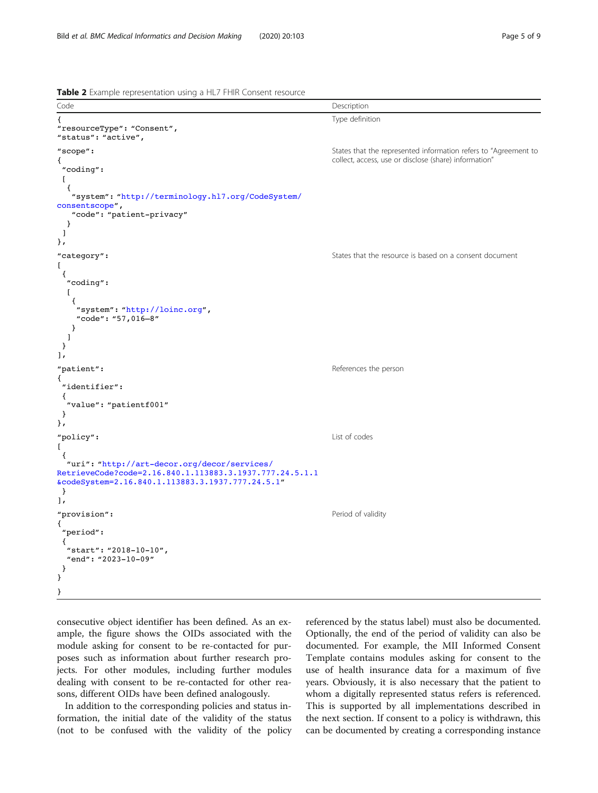<span id="page-4-0"></span>Table 2 Example representation using a HL7 FHIR Consent resource



consecutive object identifier has been defined. As an example, the figure shows the OIDs associated with the module asking for consent to be re-contacted for purposes such as information about further research projects. For other modules, including further modules dealing with consent to be re-contacted for other reasons, different OIDs have been defined analogously.

In addition to the corresponding policies and status information, the initial date of the validity of the status (not to be confused with the validity of the policy referenced by the status label) must also be documented. Optionally, the end of the period of validity can also be documented. For example, the MII Informed Consent Template contains modules asking for consent to the use of health insurance data for a maximum of five years. Obviously, it is also necessary that the patient to whom a digitally represented status refers is referenced. This is supported by all implementations described in the next section. If consent to a policy is withdrawn, this can be documented by creating a corresponding instance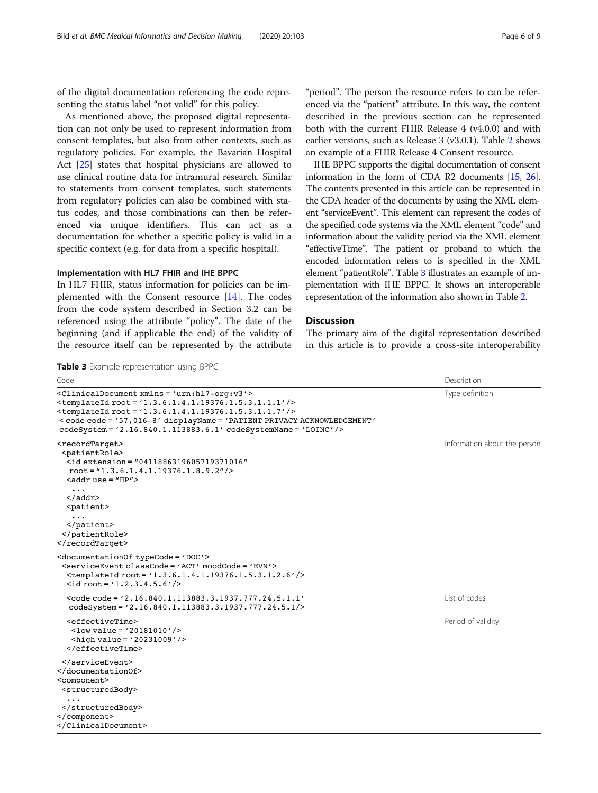of the digital documentation referencing the code representing the status label "not valid" for this policy.

As mentioned above, the proposed digital representation can not only be used to represent information from consent templates, but also from other contexts, such as regulatory policies. For example, the Bavarian Hospital Act [\[25](#page-8-0)] states that hospital physicians are allowed to use clinical routine data for intramural research. Similar to statements from consent templates, such statements from regulatory policies can also be combined with status codes, and those combinations can then be referenced via unique identifiers. This can act as a documentation for whether a specific policy is valid in a specific context (e.g. for data from a specific hospital).

# Implementation with HL7 FHIR and IHE BPPC

In HL7 FHIR, status information for policies can be implemented with the Consent resource [[14](#page-7-0)]. The codes from the code system described in Section 3.2 can be referenced using the attribute "policy". The date of the beginning (and if applicable the end) of the validity of the resource itself can be represented by the attribute

Table 3 Example representation using BPPC

"period". The person the resource refers to can be referenced via the "patient" attribute. In this way, the content described in the previous section can be represented both with the current FHIR Release 4 (v4.0.0) and with earlier versions, such as Release 3 (v3.0.1). Table [2](#page-4-0) shows an example of a FHIR Release 4 Consent resource.

IHE BPPC supports the digital documentation of consent information in the form of CDA R2 documents [\[15,](#page-7-0) [26](#page-8-0)]. The contents presented in this article can be represented in the CDA header of the documents by using the XML element "serviceEvent". This element can represent the codes of the specified code systems via the XML element "code" and information about the validity period via the XML element "effectiveTime". The patient or proband to which the encoded information refers to is specified in the XML element "patientRole". Table 3 illustrates an example of implementation with IHE BPPC. It shows an interoperable representation of the information also shown in Table [2](#page-4-0).

# **Discussion**

The primary aim of the digital representation described in this article is to provide a cross-site interoperability

| Code                                                                                                                                                                                                                                                                                                                                                                                             | Description                  |
|--------------------------------------------------------------------------------------------------------------------------------------------------------------------------------------------------------------------------------------------------------------------------------------------------------------------------------------------------------------------------------------------------|------------------------------|
| <clinicaldocument xmlns="urn:hl7-org:v3"><br/><math>\epsilon</math>templateId root = '1.3.6.1.4.1.19376.1.5.3.1.1.1'/&gt;<br/><math>\epsilon</math>templateId root = '1.3.6.1.4.1.19376.1.5.3.1.1.7'/&gt;<br/>&lt; code code = '57,016-8' displayName = 'PATIENT PRIVACY ACKNOWLEDGEMENT'<br/><math>codeSystem = '2.16.840.1.113883.6.1' codeSystemName = 'LOINC'/&gt;</math></clinicaldocument> | Type definition              |
| <recordtarget><br/><patientrole><br/><math>\le</math>id extension = "0411886319605719371016"<br/><math>root = 1.3.6.1.4.1.19376.1.8.9.2''/&gt;</math><br/><math>\alpha</math>ddruse = "HP"&gt;<br/><math>\cdots</math></patientrole></recordtarget>                                                                                                                                              | Information about the person |
| $\langle$ /addr><br><patient></patient>                                                                                                                                                                                                                                                                                                                                                          |                              |
| $<$ /patient><br><br>                                                                                                                                                                                                                                                                                                                                                                            |                              |
| <documentation0f typecode="DOC"><br/><serviceevent classcode="ACT" moodcode="EVN"><br/><math>\epsilon</math>templateId root = '1.3.6.1.4.1.19376.1.5.3.1.2.6'/&gt;<br/><math>\langle</math>id root = '1.2.3.4.5.6'/&gt;</serviceevent></documentation0f>                                                                                                                                         |                              |
| $<$ code code = '2.16.840.1.113883.3.1937.777.24.5.1.1'<br>codeSystem= '2.16.840.1.113883.3.1937.777.24.5.1/>                                                                                                                                                                                                                                                                                    | List of codes                |
| <effectivetime><br/><math>\frac{1}{\sqrt{2}}</math> <low value="20181010"></low><br/><math>\alpha</math> <high value="20231009"></high><br/><math>\langle</math>/effectiveTime&gt;</effectivetime>                                                                                                                                                                                               | Period of validity           |
| $\langle$ /serviceEvent><br><br><component><br/><structuredbody></structuredbody></component>                                                                                                                                                                                                                                                                                                    |                              |
| <br><br>                                                                                                                                                                                                                                                                                                                                                                                         |                              |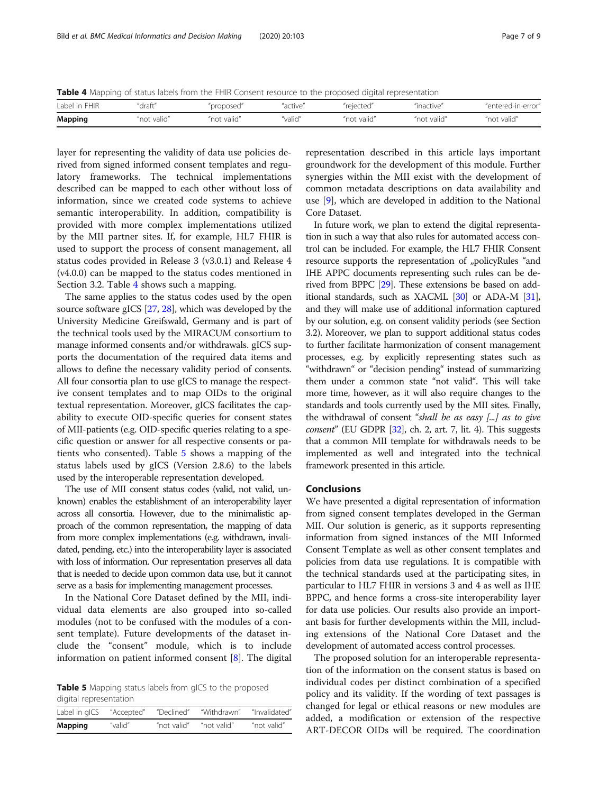Table 4 Mapping of status labels from the FHIR Consent resource to the proposed digital representation

| Label in FHIR  | ʻdraft"     | "proposed   | "active" | 'reiected  | "inactive"  | "entered-in-error" |
|----------------|-------------|-------------|----------|------------|-------------|--------------------|
| <b>Mapping</b> | "not valid" | "not valid" | "valid"  | "not valid | "not valid" | "not valid         |

layer for representing the validity of data use policies derived from signed informed consent templates and regulatory frameworks. The technical implementations described can be mapped to each other without loss of information, since we created code systems to achieve semantic interoperability. In addition, compatibility is provided with more complex implementations utilized by the MII partner sites. If, for example, HL7 FHIR is used to support the process of consent management, all status codes provided in Release 3 (v3.0.1) and Release 4 (v4.0.0) can be mapped to the status codes mentioned in Section 3.2. Table 4 shows such a mapping.

The same applies to the status codes used by the open source software gICS [[27](#page-8-0), [28\]](#page-8-0), which was developed by the University Medicine Greifswald, Germany and is part of the technical tools used by the MIRACUM consortium to manage informed consents and/or withdrawals. gICS supports the documentation of the required data items and allows to define the necessary validity period of consents. All four consortia plan to use gICS to manage the respective consent templates and to map OIDs to the original textual representation. Moreover, gICS facilitates the capability to execute OID-specific queries for consent states of MII-patients (e.g. OID-specific queries relating to a specific question or answer for all respective consents or patients who consented). Table 5 shows a mapping of the status labels used by gICS (Version 2.8.6) to the labels used by the interoperable representation developed.

The use of MII consent status codes (valid, not valid, unknown) enables the establishment of an interoperability layer across all consortia. However, due to the minimalistic approach of the common representation, the mapping of data from more complex implementations (e.g. withdrawn, invalidated, pending, etc.) into the interoperability layer is associated with loss of information. Our representation preserves all data that is needed to decide upon common data use, but it cannot serve as a basis for implementing management processes.

In the National Core Dataset defined by the MII, individual data elements are also grouped into so-called modules (not to be confused with the modules of a consent template). Future developments of the dataset include the "consent" module, which is to include information on patient informed consent [\[8](#page-7-0)]. The digital

Table 5 Mapping status labels from gICS to the proposed digital representation

| Label in gICS | "Accepted" | "Declined"  | "Withdrawn" | "Invalidated" |
|---------------|------------|-------------|-------------|---------------|
| Mapping       | "valid"    | "not valid" | "not valid" | "not valid"   |

representation described in this article lays important groundwork for the development of this module. Further synergies within the MII exist with the development of common metadata descriptions on data availability and use [[9\]](#page-7-0), which are developed in addition to the National Core Dataset.

In future work, we plan to extend the digital representation in such a way that also rules for automated access control can be included. For example, the HL7 FHIR Consent resource supports the representation of "policyRules "and IHE APPC documents representing such rules can be derived from BPPC [[29\]](#page-8-0). These extensions be based on additional standards, such as XACML [\[30](#page-8-0)] or ADA-M [\[31](#page-8-0)], and they will make use of additional information captured by our solution, e.g. on consent validity periods (see Section 3.2). Moreover, we plan to support additional status codes to further facilitate harmonization of consent management processes, e.g. by explicitly representing states such as "withdrawn" or "decision pending" instead of summarizing them under a common state "not valid". This will take more time, however, as it will also require changes to the standards and tools currently used by the MII sites. Finally, the withdrawal of consent "shall be as easy  $\left[\ldots\right]$  as to give *consent*" (EU GDPR  $[32]$  $[32]$ , ch. 2, art. 7, lit. 4). This suggests that a common MII template for withdrawals needs to be implemented as well and integrated into the technical framework presented in this article.

## Conclusions

We have presented a digital representation of information from signed consent templates developed in the German MII. Our solution is generic, as it supports representing information from signed instances of the MII Informed Consent Template as well as other consent templates and policies from data use regulations. It is compatible with the technical standards used at the participating sites, in particular to HL7 FHIR in versions 3 and 4 as well as IHE BPPC, and hence forms a cross-site interoperability layer for data use policies. Our results also provide an important basis for further developments within the MII, including extensions of the National Core Dataset and the development of automated access control processes.

The proposed solution for an interoperable representation of the information on the consent status is based on individual codes per distinct combination of a specified policy and its validity. If the wording of text passages is changed for legal or ethical reasons or new modules are added, a modification or extension of the respective ART-DECOR OIDs will be required. The coordination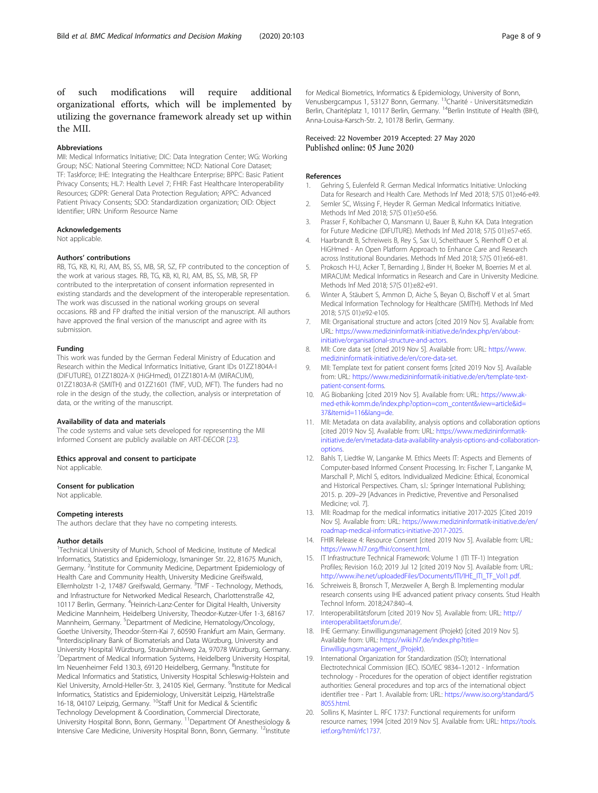<span id="page-7-0"></span>of such modifications will require additional organizational efforts, which will be implemented by utilizing the governance framework already set up within the MII.

# Abbreviations

MII: Medical Informatics Initiative; DIC: Data Integration Center; WG: Working Group; NSC: National Steering Committee; NCD: National Core Dataset; TF: Taskforce; IHE: Integrating the Healthcare Enterprise; BPPC: Basic Patient Privacy Consents; HL7: Health Level 7; FHIR: Fast Healthcare Interoperability Resources; GDPR: General Data Protection Regulation; APPC: Advanced Patient Privacy Consents; SDO: Standardization organization; OID: Object Identifier; URN: Uniform Resource Name

#### Acknowledgements

Not applicable.

#### Authors' contributions

RB, TG, KB, KI, RJ, AM, BS, SS, MB, SR, SZ, FP contributed to the conception of the work at various stages. RB, TG, KB, KI, RJ, AM, BS, SS, MB, SR, FP contributed to the interpretation of consent information represented in existing standards and the development of the interoperable representation. The work was discussed in the national working groups on several occasions. RB and FP drafted the initial version of the manuscript. All authors have approved the final version of the manuscript and agree with its submission.

#### Funding

This work was funded by the German Federal Ministry of Education and Research within the Medical Informatics Initiative, Grant IDs 01ZZ1804A-I (DIFUTURE), 01ZZ1802A-X (HiGHmed), 01ZZ1801A-M (MIRACUM), 01ZZ1803A-R (SMITH) and 01ZZ1601 (TMF, VUD, MFT). The funders had no role in the design of the study, the collection, analysis or interpretation of data, or the writing of the manuscript.

#### Availability of data and materials

The code systems and value sets developed for representing the MII Informed Consent are publicly available on ART-DECOR [[23](#page-8-0)].

#### Ethics approval and consent to participate

Not applicable.

# Consent for publication

Not applicable.

#### Competing interests

The authors declare that they have no competing interests.

#### Author details

<sup>1</sup>Technical University of Munich, School of Medicine, Institute of Medical Informatics, Statistics and Epidemiology, Ismaninger Str. 22, 81675 Munich, Germany. <sup>2</sup>Institute for Community Medicine, Department Epidemiology of Health Care and Community Health, University Medicine Greifswald, Ellernholzstr 1-2, 17487 Greifswald, Germany. <sup>3</sup>TMF - Technology, Methods, and Infrastructure for Networked Medical Research, Charlottenstraße 42, 10117 Berlin, Germany. <sup>4</sup>Heinrich-Lanz-Center for Digital Health, University Medicine Mannheim, Heidelberg University, Theodor-Kutzer-Ufer 1-3, 68167 Mannheim, Germany. <sup>5</sup>Department of Medicine, Hematology/Oncology, Goethe University, Theodor-Stern-Kai 7, 60590 Frankfurt am Main, Germany. <sup>6</sup>Interdisciplinary Bank of Biomaterials and Data Würzburg, University and University Hospital Würzburg, Straubmühlweg 2a, 97078 Würzburg, Germany. 7 Department of Medical Information Systems, Heidelberg University Hospital, Im Neuenheimer Feld 130.3, 69120 Heidelberg, Germany. <sup>8</sup>Institute for Medical Informatics and Statistics, University Hospital Schleswig-Holstein and Kiel University, Arnold-Heller-Str. 3, 24105 Kiel, Germany. <sup>9</sup>Institute for Medical Informatics, Statistics and Epidemiology, Universität Leipzig, Härtelstraße 16-18, 04107 Leipzig, Germany. <sup>10</sup>Staff Unit for Medical & Scientific Technology Development & Coordination, Commercial Directorate, University Hospital Bonn, Bonn, Germany. 11Department Of Anesthesiology & Intensive Care Medicine, University Hospital Bonn, Bonn, Germany. <sup>12</sup>Institute for Medical Biometrics, Informatics & Epidemiology, University of Bonn, Venusbergcampus 1, 53127 Bonn, Germany. <sup>13</sup>Charité - Universitätsmedizin Berlin, Charitéplatz 1, 10117 Berlin, Germany. <sup>14</sup>Berlin Institute of Health (BIH), Anna-Louisa-Karsch-Str. 2, 10178 Berlin, Germany.

# Received: 22 November 2019 Accepted: 27 May 2020 Published online: 05 June 2020

#### References

- 1. Gehring S, Eulenfeld R. German Medical Informatics Initiative: Unlocking Data for Research and Health Care. Methods Inf Med 2018; 57(S 01):e46-e49.
- 2. Semler SC, Wissing F, Heyder R. German Medical Informatics Initiative. Methods Inf Med 2018; 57(S 01):e50-e56.
- 3. Prasser F, Kohlbacher O, Mansmann U, Bauer B, Kuhn KA. Data Integration for Future Medicine (DIFUTURE). Methods Inf Med 2018; 57(S 01):e57-e65.
- Haarbrandt B, Schreiweis B, Rey S, Sax U, Scheithauer S, Rienhoff O et al. HiGHmed - An Open Platform Approach to Enhance Care and Research across Institutional Boundaries. Methods Inf Med 2018; 57(S 01):e66-e81.
- 5. Prokosch H-U, Acker T, Bernarding J, Binder H, Boeker M, Boerries M et al. MIRACUM: Medical Informatics in Research and Care in University Medicine. Methods Inf Med 2018; 57(S 01):e82-e91.
- 6. Winter A, Stäubert S, Ammon D, Aiche S, Beyan O, Bischoff V et al. Smart Medical Information Technology for Healthcare (SMITH). Methods Inf Med 2018; 57(S 01):e92-e105.
- MII: Organisational structure and actors [cited 2019 Nov 5]. Available from: URL: [https://www.medizininformatik-initiative.de/index.php/en/about](https://www.medizininformatik-initiative.de/index.php/en/about-initiative/organisational-structure-and-actors)[initiative/organisational-structure-and-actors.](https://www.medizininformatik-initiative.de/index.php/en/about-initiative/organisational-structure-and-actors)
- 8. MII: Core data set [cited 2019 Nov 5]. Available from: URL: [https://www.](https://www.medizininformatik-initiative.de/en/core-data-set) [medizininformatik-initiative.de/en/core-data-set](https://www.medizininformatik-initiative.de/en/core-data-set).
- 9. MII: Template text for patient consent forms [cited 2019 Nov 5]. Available from: URL: [https://www.medizininformatik-initiative.de/en/template-text](https://www.medizininformatik-initiative.de/en/template-text-patient-consent-forms)[patient-consent-forms.](https://www.medizininformatik-initiative.de/en/template-text-patient-consent-forms)
- 10. AG Biobanking [cited 2019 Nov 5]. Available from: URL: [https://www.ak](https://www.ak-med-ethik-komm.de/index.php?option=com_content&view=article&id=37&Itemid=116&lang=de)[med-ethik-komm.de/index.php?option=com\\_content&view=article&id=](https://www.ak-med-ethik-komm.de/index.php?option=com_content&view=article&id=37&Itemid=116&lang=de) [37&Itemid=116&lang=de.](https://www.ak-med-ethik-komm.de/index.php?option=com_content&view=article&id=37&Itemid=116&lang=de)
- 11. MII: Metadata on data availability, analysis options and collaboration options [cited 2019 Nov 5]. Available from: URL: [https://www.medizininformatik](https://www.medizininformatik-initiative.de/en/metadata-data-availability-analysis-options-and-collaboration-options)[initiative.de/en/metadata-data-availability-analysis-options-and-collaboration](https://www.medizininformatik-initiative.de/en/metadata-data-availability-analysis-options-and-collaboration-options)[options](https://www.medizininformatik-initiative.de/en/metadata-data-availability-analysis-options-and-collaboration-options).
- 12. Bahls T, Liedtke W, Langanke M. Ethics Meets IT: Aspects and Elements of Computer-based Informed Consent Processing. In: Fischer T, Langanke M, Marschall P, Michl S, editors. Individualized Medicine: Ethical, Economical and Historical Perspectives. Cham, s.l.: Springer International Publishing; 2015. p. 209–29 [Advances in Predictive, Preventive and Personalised Medicine; vol. 7].
- 13. MII: Roadmap for the medical informatics initiative 2017-2025 [Cited 2019 Nov 5]. Available from: URL: [https://www.medizininformatik-initiative.de/en/](https://www.medizininformatik-initiative.de/en/roadmap-medical-informatics-initiative-2017-2025) [roadmap-medical-informatics-initiative-2017-2025.](https://www.medizininformatik-initiative.de/en/roadmap-medical-informatics-initiative-2017-2025)
- 14. FHIR Release 4: Resource Consent [cited 2019 Nov 5]. Available from: URL: [https://www.hl7.org/fhir/consent.html.](https://www.hl7.org/fhir/consent.html)
- 15. IT Infrastructure Technical Framework: Volume 1 (ITI TF-1) Integration Profiles; Revision 16.0; 2019 Jul 12 [cited 2019 Nov 5]. Available from: URL: [http://www.ihe.net/uploadedFiles/Documents/ITI/IHE\\_ITI\\_TF\\_Vol1.pdf](http://www.ihe.net/uploadedFiles/Documents/ITI/IHE_ITI_TF_Vol1.pdf#nameddest=19_Basic_Patient_Privacy_Consen).
- 16. Schreiweis B, Bronsch T, Merzweiler A, Bergh B. Implementing modular research consents using IHE advanced patient privacy consents. Stud Health Technol Inform. 2018;247:840–4.
- 17. Interoperabilitätsforum [cited 2019 Nov 5]. Available from: URL: [http://](http://interoperabilitaetsforum.de/) [interoperabilitaetsforum.de/.](http://interoperabilitaetsforum.de/)
- 18. IHE Germany: Einwilligungsmanagement (Projekt) [cited 2019 Nov 5]. Available from: URL: [https://wiki.hl7.de/index.php?title=](https://wiki.hl7.de/index.php?title=Einwilligungsmanagement_(Projekt) [Einwilligungsmanagement\\_\(Projekt](https://wiki.hl7.de/index.php?title=Einwilligungsmanagement_(Projekt)).
- 19. International Organization for Standardization (ISO); International Electrotechnical Commission (IEC). ISO/IEC 9834–1:2012 - Information technology - Procedures for the operation of object identifier registration authorities: General procedures and top arcs of the international object identifier tree - Part 1. Available from: URL: [https://www.iso.org/standard/5](https://www.iso.org/standard/58055.html) [8055.html.](https://www.iso.org/standard/58055.html)
- 20. Sollins K, Masinter L. RFC 1737: Functional requirements for uniform resource names; 1994 [cited 2019 Nov 5]. Available from: URL: [https://tools.](https://tools.ietf.org/html/rfc1737) [ietf.org/html/rfc1737](https://tools.ietf.org/html/rfc1737).